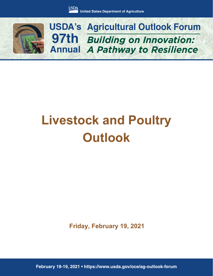

*Building on Innovation: A Pathway to Resilience* **USDA's Agricultural Outlook Forum 97th Annual**

# **Livestock and Poultry Outlook**

**Friday, February 19, 2021**

**February 18-19, 2021 • https://www.usda.gov/oce/ag-outlook-forum**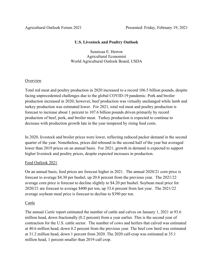## **U.S. Livestock and Poultry Outlook**

Seanicaa E. Herron Agricultural Economist World Agricultural Outlook Board, USDA

## **Overview**

Total red meat and poultry production in 2020 increased to a record 106.5 billion pounds, despite facing unprecedented challenges due to the global COVID-19 pandemic. Pork and broiler production increased in 2020; however, beef production was virtually unchanged while lamb and turkey production was estimated lower. For 2021, total red meat and poultry production is forecast to increase about 1 percent to 107.6 billion pounds driven primarily by record production of beef, pork, and broiler meat. Turkey production is expected to continue to decrease with production growth late in the year tempered by rising feed costs.

In 2020, livestock and broiler prices were lower, reflecting reduced packer demand in the second quarter of the year. Nonetheless, prices did rebound in the second half of the year but averaged lower than 2019 prices on an annual basis. For 2021, growth in demand is expected to support higher livestock and poultry prices, despite expected increases in production.

# Feed Outlook 2021

On an annual basis, feed prices are forecast higher in 2021. The annual 2020/21 corn price is forecast to average \$4.30 per bushel, up 20.8 percent from the previous year. The 2021/22 average corn price is forecast to decline slightly to \$4.20 per bushel. Soybean meal price for 2020/21 are forecast to average \$400 per ton, up 33.6 percent from last year. The 2021/22 average soybean meal price is forecast to decline to \$390 per ton.

# Cattle

The annual *Cattle* report estimated the number of cattle and calves on January 1, 2021 at 93.6 million head, down fractionally (0.2 percent) from a year earlier. This is the second year of contraction for the U.S. cattle sector. The number of cows and heifers that calved was estimated at 40.6 million head, down 0.2 percent from the previous year. The beef cow herd was estimated at 31.2 million head, down 1 percent from 2020. The 2020 calf-crop was estimated at 35.1 million head, 1 percent smaller than 2019 calf crop.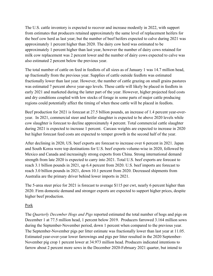The U.S. cattle inventory is expected to recover and increase modestly in 2022, with support from estimates that producers retained approximately the same level of replacement heifers for the beef cow herd as last year; but the number of beef heifers expected to calve during 2021 was approximately 1 percent higher than 2020. The dairy cow herd was estimated to be approximately 1 percent higher than last year, however the number of dairy cows retained for milk cow replacement was 2 percent lower and the number of dairy cows expected to calve was also estimated 2 percent below the previous year.

The total number of cattle on feed in feedlots of all sizes as of January 1 was 14.7 million head, up fractionally from the previous year. Supplies of cattle outside feedlots was estimated fractionally lower than last year. However, the number of cattle grazing on small grains pastures was estimated 7 percent above year-ago levels. These cattle will likely be placed in feedlots in early 2021 and marketed during the latter part of the year. However, higher projected feed costs and dry conditions coupled with low stocks of forage in some parts of major cattle producing regions could potentially affect the timing of when these cattle will be placed in feedlots.

Beef production for 2021 is forecast at 27.5 billion pounds, an increase of 1.4 percent year-overyear. In 2021, commercial steer and heifer slaughter is expected to be above 2020 levels while cow slaughter is forecast to decline approximately 4 percent. Total commercial cattle slaughter during 2021 is expected to increase 1 percent. Carcass weights are expected to increase in 2020 but higher forecast feed costs are expected to temper growth in the second half of the year.

After declining in 2020, US. beef exports are forecast to increase over 6 percent in 2021. Japan and South Korea were top destinations for U.S. beef exports volume-wise in 2020, followed by Mexico and Canada and increasingly strong exports from China. Strong international demand strength from late 2020 is expected to carry into 2021. Total U.S. beef exports are forecast to reach 3.1 billion pounds in 2021, up 6.4 percent from 2020. U.S. beef imports are forecast to reach 3.0 billion pounds in 2021, down 10.1 percent from 2020. Decreased shipments from Australia are the primary driver behind lower imports in 2021.

The 5-area steer price for 2021 is forecast to average \$115 per cwt, nearly 6 percent higher than 2020. Firm domestic demand and stronger exports are expected to support higher prices, despite higher beef production.

#### Pork

The *Quarterly December Hogs and Pigs* reported estimated the total number of hogs and pigs on December 1 at 77.5 million head, 1 percent below 2019. Producers farrowed 3.164 million sows during the September-November period, down 1 percent when compared to the previous year. The September-November pigs per litter estimate was fractionally lower than last year at 11.05. Estimated year-over-year lower farrowings and pigs per litter resulted in the 2020 September-November pig crop 1 percent lower at 34.973 million head. Producers indicated intentions to farrow about 2 percent more sows in the December 2020-February 2021 quarter, but intend to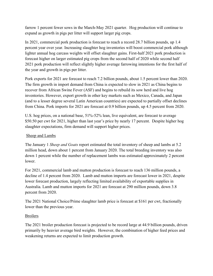farrow 1 percent fewer sows in the March-May 2021 quarter. Hog production will continue to expand as growth in pigs per litter will support larger pig crops.

In 2021, commercial pork production is forecast to reach a record 28.7 billion pounds, up 1.4 percent year over year. Increasing slaughter hog inventories will boost commercial pork although lighter annual hog carcass weights will offset slaughter gains. First-half 2021 pork production is forecast higher on larger estimated pig crops from the second half of 2020 while second half 2021 pork production will reflect slightly higher average farrowing intentions for the first half of the year and growth in pigs per litter.

Pork exports for 2021 are forecast to reach 7.2 billion pounds, about 1.5 percent lower than 2020. The firm growth in import demand from China is expected to slow in 2021 as China begins to recover from African Swine Fever (ASF) and begins to rebuild its sow herd and live hog inventories. However, export growth in other key markets such as Mexico, Canada, and Japan (and to a lesser degree several Latin American countries) are expected to partially offset declines from China. Pork imports for 2021 are forecast at 0.9 billion pounds, up 4.5 percent from 2020.

U.S. hog prices, on a national base, 51%-52% lean, live equivalent, are forecast to average \$50.50 per cwt for 2021, higher than last year's price by nearly 17 percent. Despite higher hog slaughter expectations, firm demand will support higher prices.

## Sheep and Lambs

The January 1 *Sheep and Goats* report estimated the total inventory of sheep and lambs at 5.2 million head, down about 1 percent from January 2020. The total breeding inventory was also down 1 percent while the number of replacement lambs was estimated approximately 2 percent lower.

For 2021, commercial lamb and mutton production is forecast to reach 136 million pounds, a decline of 1.4 percent from 2020. Lamb and mutton imports are forecast lower in 2021, despite lower forecast production, largely reflecting limited availability of exportable supplies in Australia. Lamb and mutton imports for 2021 are forecast at 290 million pounds, down 3.8 percent from 2020.

The 2021 National Choice/Prime slaughter lamb price is forecast at \$161 per cwt, fractionally lower than the previous year.

#### Broilers

The 2021 broiler production forecast is projected to be record large at 44.9 billion pounds, driven primarily by heavier average bird weights. However, the combination of higher feed prices and weakening returns are expected to limit production growth.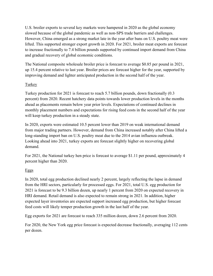U.S. broiler exports to several key markets were hampered in 2020 as the global economy slowed because of the global pandemic as well as non-SPS trade barriers and challenges. However, China emerged as a strong market late in the year after bans on U.S. poultry meat were lifted. This supported stronger export growth in 2020. For 2021, broiler meat exports are forecast to increase fractionally to 7.4 billion pounds supported by continued import demand from China and gradual recovery of global economic conditions.

The National composite wholesale broiler price is forecast to average \$0.85 per pound in 2021, up 15.4 percent relative to last year. Broiler prices are forecast higher for the year, supported by improving demand and lighter anticipated production in the second half of the year.

## **Turkey**

Turkey production for 2021 is forecast to reach 5.7 billion pounds, down fractionally (0.3 percent) from 2020. Recent hatchery data points towards lower production levels in the months ahead as placements remain below year prior levels. Expectations of continued declines in monthly placement numbers and expectations for rising feed costs in the second half of the year will keep turkey production in a steady state.

In 2020, exports were estimated 10.5 percent lower than 2019 on weak international demand from major trading partners. However, demand from China increased notably after China lifted a long-standing import ban on U.S. poultry meat due to the 2014 avian influenza outbreak. Looking ahead into 2021, turkey exports are forecast slightly higher on recovering global demand.

For 2021, the National turkey hen price is forecast to average \$1.11 per pound, approximately 4 percent higher than 2020.

# Eggs

In 2020, total egg production declined nearly 2 percent, largely reflecting the lapse in demand from the HRI sectors, particularly for processed eggs. For 2021, total U.S. egg production for 2021 is forecast to be 9.3 billion dozen, up nearly 1 percent from 2020 on expected recovery in HRI demand. Retail demand is also expected to remain strong in 2021. In addition, higher expected layer inventories are expected support increased egg production, but higher forecast feed costs will likely temper production growth in the last half of the year.

Egg exports for 2021 are forecast to reach 335 million dozen, down 2.6 percent from 2020.

For 2020, the New York egg price forecast is expected decrease fractionally, averaging 112 cents per dozen.